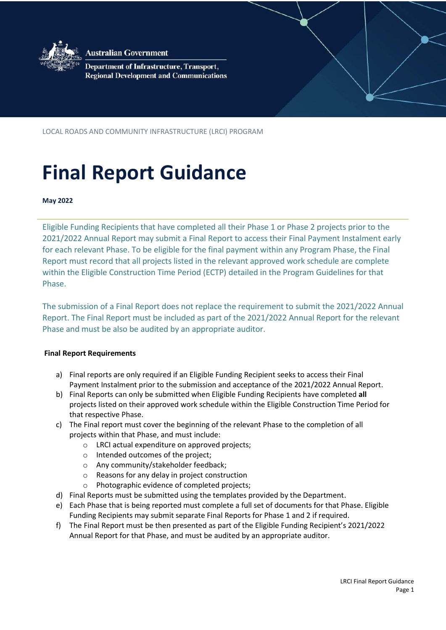

**Australian Government** 

Department of Infrastructure, Transport, **Regional Development and Communications** 

LOCAL ROADS AND COMMUNITY INFRASTRUCTURE (LRCI) PROGRAM

# **Final Report Guidance**

**May 2022**

Eligible Funding Recipients that have completed all their Phase 1 or Phase 2 projects prior to the 2021/2022 Annual Report may submit a Final Report to access their Final Payment Instalment early for each relevant Phase. To be eligible for the final payment within any Program Phase, the Final Report must record that all projects listed in the relevant approved work schedule are complete within the Eligible Construction Time Period (ECTP) detailed in the Program Guidelines for that Phase.

The submission of a Final Report does not replace the requirement to submit the 2021/2022 Annual Report. The Final Report must be included as part of the 2021/2022 Annual Report for the relevant Phase and must be also be audited by an appropriate auditor.

#### **Final Report Requirements**

- a) Final reports are only required if an Eligible Funding Recipient seeks to access their Final Payment Instalment prior to the submission and acceptance of the 2021/2022 Annual Report.
- b) Final Reports can only be submitted when Eligible Funding Recipients have completed **all** projects listed on their approved work schedule within the Eligible Construction Time Period for that respective Phase.
- c) The Final report must cover the beginning of the relevant Phase to the completion of all projects within that Phase, and must include:
	- o LRCI actual expenditure on approved projects;
	- o Intended outcomes of the project;
	- o Any community/stakeholder feedback;
	- o Reasons for any delay in project construction
	- o Photographic evidence of completed projects;
- d) Final Reports must be submitted using the templates provided by the Department.
- e) Each Phase that is being reported must complete a full set of documents for that Phase. Eligible Funding Recipients may submit separate Final Reports for Phase 1 and 2 if required.
- f) The Final Report must be then presented as part of the Eligible Funding Recipient's 2021/2022 Annual Report for that Phase, and must be audited by an appropriate auditor.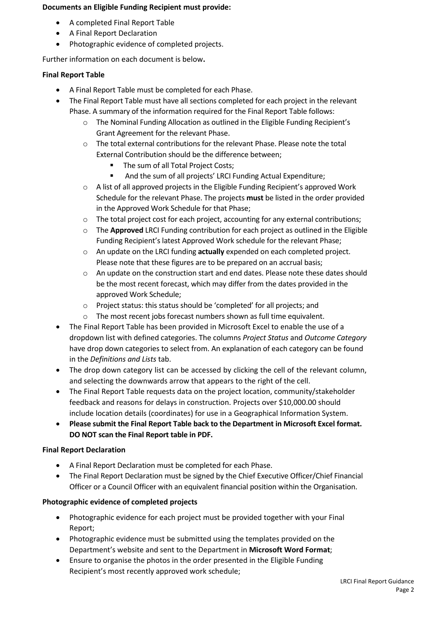## **Documents an Eligible Funding Recipient must provide:**

- A completed Final Report Table
- A Final Report Declaration
- Photographic evidence of completed projects.

Further information on each document is below**.**

## **Final Report Table**

- A Final Report Table must be completed for each Phase.
- The Final Report Table must have all sections completed for each project in the relevant Phase. A summary of the information required for the Final Report Table follows:
	- o The Nominal Funding Allocation as outlined in the Eligible Funding Recipient's Grant Agreement for the relevant Phase.
	- o The total external contributions for the relevant Phase. Please note the total External Contribution should be the difference between;
		- **The sum of all Total Project Costs;**
		- And the sum of all projects' LRCI Funding Actual Expenditure;
	- $\circ$  A list of all approved projects in the Eligible Funding Recipient's approved Work Schedule for the relevant Phase. The projects **must** be listed in the order provided in the Approved Work Schedule for that Phase;
	- $\circ$  The total project cost for each project, accounting for any external contributions;
	- o The **Approved** LRCI Funding contribution for each project as outlined in the Eligible Funding Recipient's latest Approved Work schedule for the relevant Phase;
	- o An update on the LRCI funding **actually** expended on each completed project. Please note that these figures are to be prepared on an accrual basis;
	- o An update on the construction start and end dates. Please note these dates should be the most recent forecast, which may differ from the dates provided in the approved Work Schedule;
	- o Project status: this status should be 'completed' for all projects; and
	- $\circ$  The most recent jobs forecast numbers shown as full time equivalent.
- The Final Report Table has been provided in Microsoft Excel to enable the use of a dropdown list with defined categories. The columns *Project Status* and *Outcome Category*  have drop down categories to select from. An explanation of each category can be found in the *Definitions and Lists* tab.
- The drop down category list can be accessed by clicking the cell of the relevant column, and selecting the downwards arrow that appears to the right of the cell.
- The Final Report Table requests data on the project location, community/stakeholder feedback and reasons for delays in construction. Projects over \$10,000.00 should include location details (coordinates) for use in a Geographical Information System.
- **Please submit the Final Report Table back to the Department in Microsoft Excel format. DO NOT scan the Final Report table in PDF.**

# **Final Report Declaration**

- A Final Report Declaration must be completed for each Phase.
- The Final Report Declaration must be signed by the Chief Executive Officer/Chief Financial Officer or a Council Officer with an equivalent financial position within the Organisation.

# **Photographic evidence of completed projects**

- Photographic evidence for each project must be provided together with your Final Report;
- Photographic evidence must be submitted using the templates provided on the Department's website and sent to the Department in **Microsoft Word Format**;
- Ensure to organise the photos in the order presented in the Eligible Funding Recipient's most recently approved work schedule;